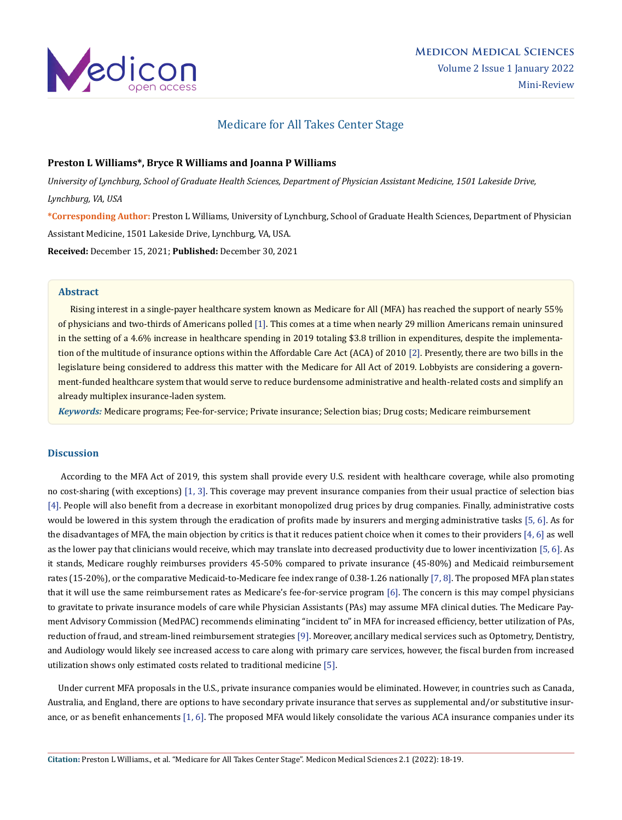

# Medicare for All Takes Center Stage

### **Preston L Williams\*, Bryce R Williams and Joanna P Williams**

*University of Lynchburg, School of Graduate Health Sciences, Department of Physician Assistant Medicine, 1501 Lakeside Drive, Lynchburg, VA, USA*

**\*Corresponding Author:** Preston L Williams, University of Lynchburg, School of Graduate Health Sciences, Department of Physician Assistant Medicine, 1501 Lakeside Drive, Lynchburg, VA, USA.

**Received:** December 15, 2021; **Published:** December 30, 2021

#### **Abstract**

 Rising interest in a single-payer healthcare system known as Medicare for All (MFA) has reached the support of nearly 55% of physicians and two-thirds of Americans polled [1]. This comes at a time when nearly 29 million Americans remain uninsured in the setting of a 4.6% increase in healthcare spending in 2019 totaling \$3.8 trillion in expenditures, despite the implementation of the multitude of insurance options within the Affordable Care Act (ACA) of 2010 [2]. Presently, there are two bills in the legislature being considered to address this matter with the Medicare for All Act of 2019. Lobbyists are considering a government-funded healthcare system that would serve to reduce burdensome administrative and health-related costs and simplify an already multiplex insurance-laden system.

*Keywords:* Medicare programs; Fee-for-service; Private insurance; Selection bias; Drug costs; Medicare reimbursement

#### **Discussion**

 According to the MFA Act of 2019, this system shall provide every U.S. resident with healthcare coverage, while also promoting no cost-sharing (with exceptions) [1, 3]. This coverage may prevent insurance companies from their usual practice of selection bias [4]. People will also benefit from a decrease in exorbitant monopolized drug prices by drug companies. Finally, administrative costs would be lowered in this system through the eradication of profits made by insurers and merging administrative tasks [5, 6]. As for the disadvantages of MFA, the main objection by critics is that it reduces patient choice when it comes to their providers  $[4, 6]$  as well as the lower pay that clinicians would receive, which may translate into decreased productivity due to lower incentivization [5, 6]. As it stands, Medicare roughly reimburses providers 45-50% compared to private insurance (45-80%) and Medicaid reimbursement rates (15-20%), or the comparative Medicaid-to-Medicare fee index range of 0.38-1.26 nationally [7, 8]. The proposed MFA plan states that it will use the same reimbursement rates as Medicare's fee-for-service program [6]. The concern is this may compel physicians to gravitate to private insurance models of care while Physician Assistants (PAs) may assume MFA clinical duties. The Medicare Payment Advisory Commission (MedPAC) recommends eliminating "incident to" in MFA for increased efficiency, better utilization of PAs, reduction of fraud, and stream-lined reimbursement strategies [9]. Moreover, ancillary medical services such as Optometry, Dentistry, and Audiology would likely see increased access to care along with primary care services, however, the fiscal burden from increased utilization shows only estimated costs related to traditional medicine [5].

 Under current MFA proposals in the U.S., private insurance companies would be eliminated. However, in countries such as Canada, Australia, and England, there are options to have secondary private insurance that serves as supplemental and/or substitutive insurance, or as benefit enhancements [1, 6]. The proposed MFA would likely consolidate the various ACA insurance companies under its